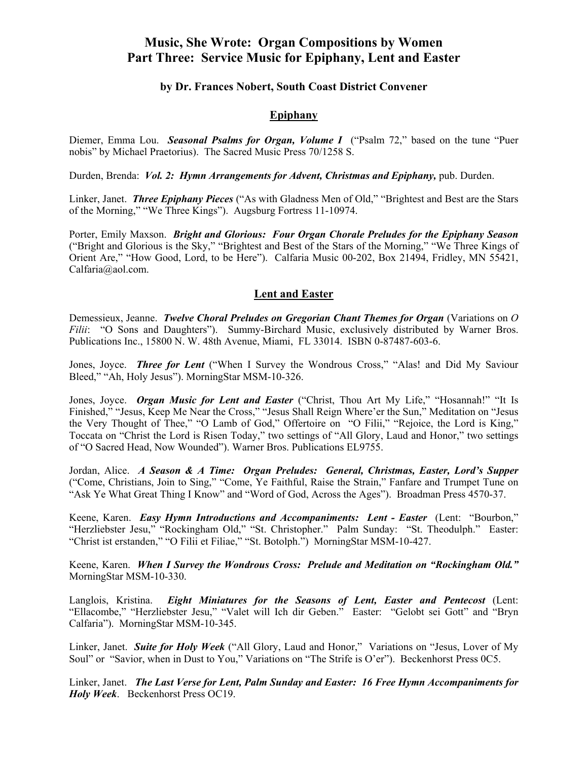## **Music, She Wrote: Organ Compositions by Women Part Three: Service Music for Epiphany, Lent and Easter**

## **by Dr. Frances Nobert, South Coast District Convener**

## **Epiphany**

Diemer, Emma Lou. *Seasonal Psalms for Organ, Volume I* ("Psalm 72," based on the tune "Puer nobis" by Michael Praetorius). The Sacred Music Press 70/1258 S.

Durden, Brenda: *Vol. 2: Hymn Arrangements for Advent, Christmas and Epiphany,* pub. Durden.

Linker, Janet. *Three Epiphany Pieces* ("As with Gladness Men of Old," "Brightest and Best are the Stars of the Morning," "We Three Kings"). Augsburg Fortress 11-10974.

Porter, Emily Maxson. *Bright and Glorious: Four Organ Chorale Preludes for the Epiphany Season* ("Bright and Glorious is the Sky," "Brightest and Best of the Stars of the Morning," "We Three Kings of Orient Are," "How Good, Lord, to be Here"). Calfaria Music 00-202, Box 21494, Fridley, MN 55421, Calfaria@aol.com.

## **Lent and Easter**

Demessieux, Jeanne. *Twelve Choral Preludes on Gregorian Chant Themes for Organ* (Variations on *O Filii*: "O Sons and Daughters"). Summy-Birchard Music, exclusively distributed by Warner Bros. Publications Inc., 15800 N. W. 48th Avenue, Miami, FL 33014. ISBN 0-87487-603-6.

Jones, Joyce. *Three for Lent* ("When I Survey the Wondrous Cross," "Alas! and Did My Saviour Bleed," "Ah, Holy Jesus"). MorningStar MSM-10-326.

Jones, Joyce. *Organ Music for Lent and Easter* ("Christ, Thou Art My Life," "Hosannah!" "It Is Finished," "Jesus, Keep Me Near the Cross," "Jesus Shall Reign Where'er the Sun," Meditation on "Jesus the Very Thought of Thee," "O Lamb of God," Offertoire on "O Filii," "Rejoice, the Lord is King," Toccata on "Christ the Lord is Risen Today," two settings of "All Glory, Laud and Honor," two settings of "O Sacred Head, Now Wounded"). Warner Bros. Publications EL9755.

Jordan, Alice. *A Season & A Time: Organ Preludes: General, Christmas, Easter, Lord's Supper* ("Come, Christians, Join to Sing," "Come, Ye Faithful, Raise the Strain," Fanfare and Trumpet Tune on "Ask Ye What Great Thing I Know" and "Word of God, Across the Ages"). Broadman Press 4570-37.

Keene, Karen. *Easy Hymn Introductions and Accompaniments: Lent - Easter* (Lent: "Bourbon," "Herzliebster Jesu," "Rockingham Old," "St. Christopher." Palm Sunday: "St. Theodulph." Easter: "Christ ist erstanden," "O Filii et Filiae," "St. Botolph.") MorningStar MSM-10-427.

Keene, Karen. *When I Survey the Wondrous Cross: Prelude and Meditation on "Rockingham Old."*  MorningStar MSM-10-330.

Langlois, Kristina. *Eight Miniatures for the Seasons of Lent, Easter and Pentecost* (Lent: "Ellacombe," "Herzliebster Jesu," "Valet will Ich dir Geben." Easter: "Gelobt sei Gott" and "Bryn Calfaria"). MorningStar MSM-10-345.

Linker, Janet.*Suite for Holy Week* ("All Glory, Laud and Honor," Variations on "Jesus, Lover of My Soul" or "Savior, when in Dust to You," Variations on "The Strife is O'er"). Beckenhorst Press 0C5.

Linker, Janet. *The Last Verse for Lent, Palm Sunday and Easter: 16 Free Hymn Accompaniments for Holy Week*. Beckenhorst Press OC19.